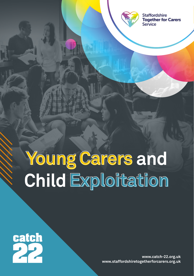

**Staffordshire Together for Carers** Service

# **Young Carers and Young Carers Child Exploitation Exploitation**



**www.catch-22.org.uk www.staffordshiretogetherforcarers.org.uk**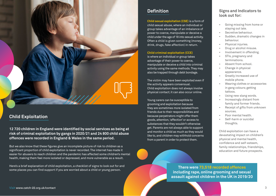

# **Child Exploitation**

**12 720 children in England were identified by social services as being at risk of criminal exploitation by gangs in 2020/21 and 24 800 child abuse offences were recorded in England & Wales in the same period.** 

But we also know that these figures give an incomplete picture of risk to children as a significant proportion of child exploitation is never recorded. The internet has made it easier for abusers to reach children and the pandemic has affected some children's mental health, making them feel more isolated or depressed, and more vulnerable as a result.

Here's a brief explanation of child exploitation, a checklist of signs to look out for and some places you can find support if you are worried about a child or young person.

# **Definition**

**Child sexual exploitation (CSE)** is a form of child sexual abuse, where an individual or group takes advantage of an imbalance of power to coerce, manipulate or deceive a child under the age of 18 into sexual activity. Often a child is given something (money, drink, drugs, fake affection) in return.

## **Child criminal exploitation (CCE)**

is where an individual or group takes advantage of their power to coerce, manipulate or deceive a child into criminal activity using the same methods. They may also be trapped through debt bondage.

The victim may have been exploited even if the activity appears consensual. Child exploitation does not always involve physical contact; it can also occur online.

Young carers can be susceptible to grooming and exploitation because they are sometimes more isolated from friends due to their responsibilities and because perpetrators might offer them goods, attention, 'affection' or access to substances that they wouldn't otherwise get. Parents are not always able to support and monitor a child as much as they would like to, and children may withhold concerns from a parent in order to protect them.

# **Signs and Indicators to look out for:**

- Going missing from home or staying out late.
- Secretive behaviour.
- Sudden, dramatic changes in behaviour.
- Physical injuries.
- Drug or alcohol misuse.
- Involvement in offending.
- STIs, pregnancy and terminations.
- Absent from school.
- Change in physical appearance.
- Greatly increased use of mobile phone.
- Wearing clothes or accessories in gang colours; getting tattoos.
- Using new slang words.
- Increasingly distant from family and former friends.
- Receipt of gifts from unknown sources.
- Poor mental health.
- Self-harm or suicidal thoughts.

Child exploitation can have a devastating impact on children's physical and mental health, confidence and self-esteem, family relationships, friendships, education and future prospects.

**There were 73,518 recorded offences including rape, online grooming and sexual assault against children in the UK in 2019/20**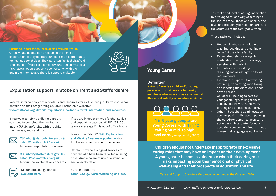#### **Further support for children at risk of exploitation**

Often, young people don't recognise the signs of exploitation. If they do, they can feel that it is their fault for making poor choices. They can often feel foolish, afraid or ashamed. If you're concerned a young person may be at risk, have an open, supportive conversation with them and make them aware there is support available.



# **Exploitation support in Stoke on Trent and Staffordshire**

Referral information, contact details and resources for a child living in Staffordshire can be found on the Safeguarding Children Partnership website: **[www.staffsscb.org.uk/child-exploitation-partner-referral-information-and-resources/](http://www.staffsscb.org.uk/child-exploitation-partner-referral-information-and-resources/)**

If you want to refer a child for support, you need to complete the risk factor matrix (RFM), preferably with the child themselves, and send it to:

If you are in doubt or need further advice and support, please call 01782 237106 or leave a message if it is out of office hours.



**[CSEInbox@staffordshire.gov.uk](mailto:CSEInbox%40staffordshire.gov.uk?subject=) & [catch22cse@catch-22.org.uk](mailto:catch22cse%40catch-22.org.uk?subject=)**  for sexual exploitation concerns

**[CSEInbox@staffordshire.gov.uk](mailto:CSEInbox%40staffordshire.gov.uk?subject=) & [catch22cce@catch-22.org.uk](mailto:catch22cce%40catch-22.org.uk?subject=)**  for criminal exploitation concerns.



Documents and guidance **available [here](https://www.staffsscb.org.uk/working-together-to-safeguard-children/child-exploitation/vamap/).** 

Look at the Catch22 **[Child Exploitation](https://www.catch-22.org.uk/spot-the-signs-poster-hub/)  [and Missing Awareness poster hub](https://www.catch-22.org.uk/spot-the-signs-poster-hub/)** for further information about the issues.

Catch22 provide a range of services for children who have been reported missing or children who are at risk of criminal or sexual exploitation.

Further details at: **[catch-22.org.uk/offers/missing-and-cse/](http://www.catch-22.org.uk/offers/missing-and-cse/  )** 

# **Young Carers**

## **Definition**

**A Young Carer is a child and/or young person who provides care for family member/s who have a physical or mental illness, a disability, or substance misuse.**



**1 in 5 young people are Young Carers, with 1 in 12 taking on mid-to highlevel care.** (Joseph et al., 2019)

The tasks and level of caring undertaken by a Young Carer can vary according to the nature of the illness or disability, the level and frequency of need for care, and the structure of the family as a whole.

#### **These tasks can include:**

- Household chores including washing, cooking and cleaning on behalf of the whole family.
- Personal/nursing care giving medication, changing dressings, assisting with mobility.
- Intimate care washing, dressing and assisting with toilet requirements.
- Emotional support Comforting, listening, translating, monitoring and meeting the emotional needs of the person.
- Childcare helping to care for younger siblings, taking them to school, helping with homework, bathing and emotional support.
- Other household administration such as paying bills, accompanying the cared-for person to hospital, or acting as an interpreter for nonspeaking sensory impaired, or those whose first language is not English.

**"Children should not undertake inappropriate or excessive caring roles that may have an impact on their development. A young carer becomes vulnerable when their caring role risks impacting upon their emotional or physical well-being and their prospects in education and life."** 

Care and Support Statutory Guidance issued under the Care Act 2014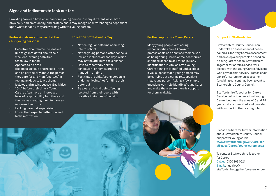# **Signs and indicators to look out for:**

Providing care can have an impact on a young person in many different ways, both physically and emotionally, and professionals may recognise different signs dependent upon what capacity they are working with the young person.

## **Professionals may observe that the child/young person is:**

- Secretive about home life, doesn't like to go into detail about their weekend/evening activities
- Often low in mood
- Appears to be tired
- Becomes anxious or stressed this can be particularly about the person they care for and manifest itself in feeling anxious to leave them.
- Isolated and missing out social activities
- "Old" before their time Young Carers often have an increased level of responsibility for others and themselves leading them to have an increased maturity.
- Lacking parental supervision
- Lower than expected attention and lacks motivation

### **Education professionals may:**

- Notice regular patterns of arriving late to school
- Notice young person's attendance is low and includes ad hoc days which may not be attributed to sickness
- Have to repeatedly ask for schoolwork or homework to be handed in on time
- Feel that the child/young person is under achieving/not fulfilling their potential
- Be aware of child being/feeling isolated from their peers with possible instances of bullying

## **Further support for Young Carers**

Many young people with caring responsibilities aren't known to professionals and don't see themselves as being Young Carers or feel too worried or embarrassed to ask for help. Early identification is vital as often Young Carers don't get identified until a crisis. If you suspect that a young person may be carrying out a caring role, speak to that young person. Asking a few simple questions can help identify a Young Carer and make them aware there is support for them available.

## **Support in Staffordshire**

Staffordshire County Council can undertake an assessment of needs called a 'Statutory Carers Assessment' and develop a support plan based on a Young Carers needs. Staffordshire Together for Carers Service work closely with the Young Carers Advisors, who provide this service. Professionals can refer Carers for an assessment (providing consent has been given) to Staffordshire County Council.

Staffordshire Together for Carers Service helps to ensure that Young Carers between the ages of 5 and 18 years old are identified and provided with support in their caring role.

Please see here for further information about Staffordshire County Council support for Young carers **[www.staffordshire.gov.uk/Care-for](http://www.staffordshire.gov.uk/Care-for-all-ages/Carers/Young-carers.aspx)[all-ages/Carers/Young-carers.aspx](http://www.staffordshire.gov.uk/Care-for-all-ages/Carers/Young-carers.aspx)**

To contact Staffordshire Together for Carers: Call us: 0300 303 0621 Email:enquiries@ staffordshiretogetherforcarers.org.uk